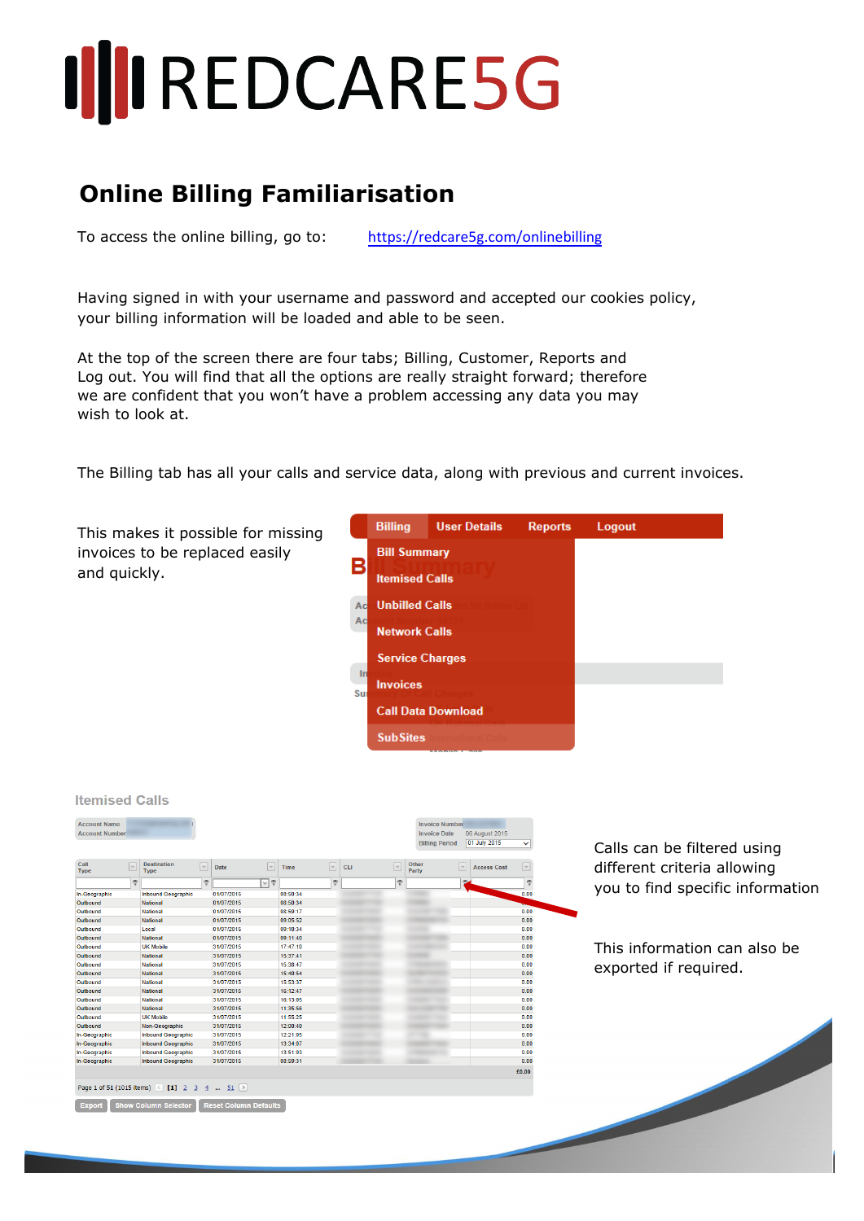## **III**IREDCARE5G

## **Online Billing Familiarisation**

To access the online billing, go to: https://redcare5g.com/onlinebilling

Having signed in with your username and password and accepted our cookies policy, your billing information will be loaded and able to be seen.

At the top of the screen there are four tabs; Billing, Customer, Reports and Log out. You will find that all the options are really straight forward; therefore we are confident that you won't have a problem accessing any data you may wish to look at.

The Billing tab has all your calls and service data, along with previous and current invoices.



| <b>Account Name</b><br><b>Account Number</b> |              |                                             |                          |             |                          |             |                          |            |                          | <b>Invoice Number</b><br><b>Invoice Date</b><br><b>Billing Period</b> |      | 06 August 2015<br>01 July 2015 | $\checkmark$             |  |
|----------------------------------------------|--------------|---------------------------------------------|--------------------------|-------------|--------------------------|-------------|--------------------------|------------|--------------------------|-----------------------------------------------------------------------|------|--------------------------------|--------------------------|--|
| Call<br><b>Type</b>                          | $\sim$       | <b>Destination</b><br>Type                  | $\overline{\phantom{a}}$ | <b>Date</b> | $\overline{\phantom{a}}$ | <b>Time</b> | $\overline{\mathcal{A}}$ | <b>CLI</b> | $\overline{\phantom{a}}$ | Other<br>Party                                                        | l ve | <b>Access Cost</b>             | $\overline{\phantom{a}}$ |  |
|                                              | $\heartsuit$ |                                             | $\heartsuit$             |             | $\overline{\vee}$ ?      |             | ۴                        |            | $\heartsuit$             |                                                                       |      | (9)                            | φ                        |  |
| In-Geographic                                |              | <b>Inbound Geographic</b>                   |                          | 01/07/2015  |                          | 08:50:34    |                          |            |                          |                                                                       |      |                                | 0.00                     |  |
| Outbound                                     |              | <b>National</b>                             |                          | 01/07/2015  |                          | 08:50:34    |                          |            |                          |                                                                       |      |                                |                          |  |
| Outbound                                     |              | <b>National</b>                             |                          | 01/07/2015  |                          | 08:59:17    |                          |            |                          |                                                                       |      |                                | 0.00                     |  |
| Outbound                                     |              | <b>National</b>                             |                          | 01/07/2015  |                          | 09:05:52    |                          |            |                          |                                                                       |      |                                | 0.00                     |  |
| Outbound                                     |              | Local                                       |                          | 01/07/2015  |                          | 09:10:34    |                          |            |                          |                                                                       |      |                                | 0.00                     |  |
| Outbound                                     |              | <b>National</b>                             |                          | 01/07/2015  |                          | 09:11:40    |                          |            |                          |                                                                       |      |                                | 0.00                     |  |
| Outbound                                     |              | <b>UK Mobile</b>                            |                          | 31/07/2015  |                          | 17:47:10    |                          |            |                          |                                                                       |      |                                | 0.00                     |  |
| Outbound                                     |              | National                                    |                          | 31/07/2015  |                          | 15:37:41    |                          |            |                          |                                                                       |      |                                | 0.00                     |  |
| Outbound                                     |              | National                                    |                          | 31/07/2015  |                          | 15:38:47    |                          |            |                          |                                                                       |      |                                | 0.00                     |  |
| Outbound                                     |              | <b>National</b>                             |                          | 31/07/2015  |                          | 15:40:54    |                          |            |                          |                                                                       |      |                                | 0.00                     |  |
| Outbound                                     |              | <b>National</b>                             |                          | 31/07/2015  |                          | 15:53:37    |                          |            |                          |                                                                       |      |                                | 0.00                     |  |
| Outbound                                     |              | <b>National</b>                             |                          | 31/07/2015  |                          | 16:12:47    |                          |            |                          |                                                                       |      |                                | 0.00                     |  |
| Outbound                                     |              | <b>National</b>                             |                          | 31/07/2015  |                          | 16:13:05    |                          |            |                          |                                                                       |      |                                | 0.00                     |  |
| Outbound                                     |              | <b>National</b>                             |                          | 31/07/2015  |                          | 11:35:56    |                          |            |                          |                                                                       |      |                                | 0.00                     |  |
| Outbound                                     |              | <b>UK Mobile</b>                            |                          | 31/07/2015  |                          | 11:55:25    |                          |            |                          |                                                                       |      |                                | 0.00                     |  |
| Outbound                                     |              | Non-Geographic                              |                          | 31/07/2015  |                          | 12:00:49    |                          |            |                          |                                                                       |      |                                | 0.00                     |  |
| In-Geographic                                |              | <b>Inbound Geographic</b>                   |                          | 31/07/2015  |                          | 12:21:05    |                          |            |                          |                                                                       |      |                                | 0.00                     |  |
| In-Geographic                                |              | <b>Inbound Geographic</b>                   |                          | 31/07/2015  |                          | 13:34:07    |                          |            |                          |                                                                       |      |                                | 0.00                     |  |
| In-Geographic                                |              | <b>Inbound Geographic</b>                   |                          | 31/07/2015  |                          | 13:51:03    |                          |            |                          |                                                                       |      |                                | 0.00                     |  |
| In-Geographic                                |              | <b>Inbound Geographic</b>                   |                          | 31/07/2015  |                          | 08:59:31    |                          |            |                          |                                                                       |      |                                | 0.00                     |  |
|                                              |              |                                             |                          |             |                          |             |                          |            |                          |                                                                       |      |                                | €0.00                    |  |
|                                              |              |                                             |                          |             |                          |             |                          |            |                          |                                                                       |      |                                |                          |  |
|                                              |              | Page 1 of 51 (1015 items) < [1] 2 3 4  51 > |                          |             |                          |             |                          |            |                          |                                                                       |      |                                |                          |  |
|                                              |              | <b>Show Column Selector</b>                 |                          |             |                          |             |                          |            |                          |                                                                       |      |                                |                          |  |

 $Hence is a d$ 

alls can be filtered using ifferent criteria allowing ou to find specific information

his information can also be exported if required.